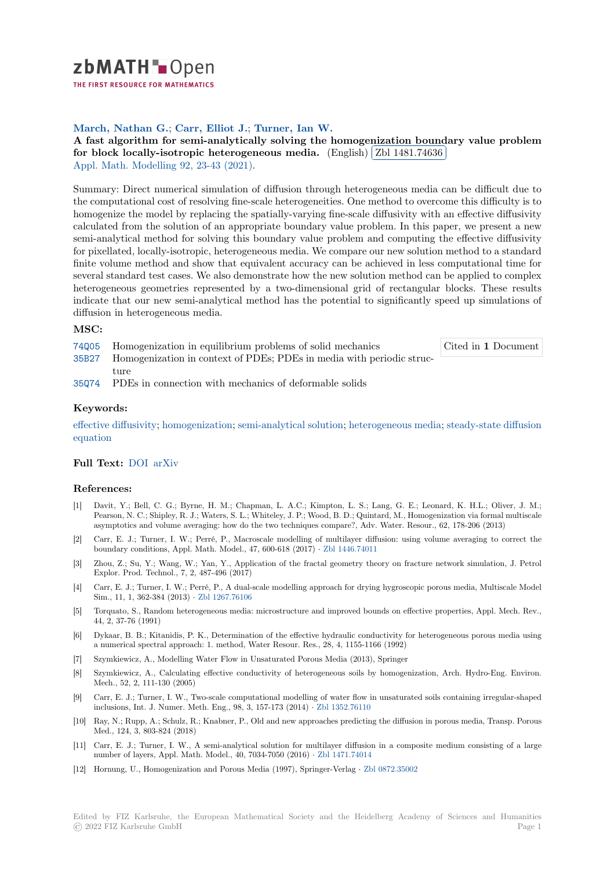zbMATH Dpen

THE FIRST RESOURCE FOR MATHEMATICS

# **March, Nathan G.**; **Carr, Elliot J.**; **Turner, Ian W.**

[A](https://zbmath.org/) fast algorithm for semi-analytically solving the homogenization boundary value problem **for block locally-isotropic heterogeneous media.** (English) **Zbl 1481.74636**<br>Anni Math Modelling 02, 22, 42, (2021) Į. Appl. Math. Modelling 92, 23-43 (2021).

[Summary: Direct numerical simulation of diffusion through heterogeneous media can be difficult due to](https://zbmath.org/1481.74636) [the computational cost of resolving fine-scale heterogene](https://zbmath.org/1481.74636)ities. One [method to overcom](https://zbmath.org/1481.74636)e this difficulty is to [homogenize the model](https://zbmath.org/journals/?q=se:1551) [by replacing the s](https://zbmath.org/?q=in:469764)patially-varying fine-scale diffusivity with an effective diffusivity calculated from the solution of an appropriate boundary value problem. In this paper, we present a new semi-analytical method for solving this boundary value problem and computing the effective diffusivity for pixellated, locally-isotropic, heterogeneous media. We compare our new solution method to a standard finite volume method and show that equivalent accuracy can be achieved in less computational time for several standard test cases. We also demonstrate how the new solution method can be applied to complex heterogeneous geometries represented by a two-dimensional grid of rectangular blocks. These results indicate that our new semi-analytical method has the potential to significantly speed up simulations of diffusion in heterogeneous media.

## **MSC:**

74Q05 Homogenization in equilibrium problems of solid mechanics

Cited in **1** Document

- 35B27 Homogenization in context of PDEs; PDEs in media with periodic structure
- 35Q74 PDEs in connection with mechanics of deformable solids

#### **[Keyw](https://zbmath.org/classification/?q=cc:35B27)ords:**

effective diffusivity; homogenization; semi-analytical solution; heterogeneous media; steady-state diffusion [equati](https://zbmath.org/classification/?q=cc:35Q74)on

## **Full Text:** DOI arXiv

#### **[Referen](https://zbmath.org/?q=ut:steady-state+diffusion+equation)ces:**

- [1] Davit, Y.; Bell, C. G.; Byrne, H. M.; Chapman, L. A.C.; Kimpton, L. S.; Lang, G. E.; Leonard, K. H.L.; Oliver, J. M.; Pearson, [N. C.;](https://dx.doi.org/10.1016/j.apm.2020.09.022) [Shipley,](https://arxiv.org/abs/1812.06680) R. J.; Waters, S. L.; Whiteley, J. P.; Wood, B. D.; Quintard, M., Homogenization via formal multiscale asymptotics and volume averaging: how do the two techniques compare?, Adv. Water. Resour., 62, 178-206 (2013)
- [2] Carr, E. J.; Turner, I. W.; Perré, P., Macroscale modelling of multilayer diffusion: using volume averaging to correct the boundary conditions, Appl. Math. Model., 47, 600-618 (2017) *·* Zbl 1446.74011
- [3] Zhou, Z.; Su, Y.; Wang, W.; Yan, Y., Application of the fractal geometry theory on fracture network simulation, J. Petrol Explor. Prod. Technol., 7, 2, 487-496 (2017)
- [4] Carr, E. J.; Turner, I. W.; Perré, P., A dual-scale modelling approach for drying hygroscopic porous media, Multiscale Model Sim., 11, 1, 362-384 (2013) *·* Zbl 1267.76106
- [5] Torquato, S., Random heterogeneous media: microstructure and improved bounds on effective properties, Appl. Mech. Rev., 44, 2, 37-76 (1991)
- [6] Dykaar, B. B.; Kitanidis, P. K., Determination of the effective hydraulic conductivity for heterogeneous porous media using a numerical spectral approac[h: 1. method, W](https://zbmath.org/1267.76106)ater Resour. Res., 28, 4, 1155-1166 (1992)
- [7] Szymkiewicz, A., Modelling Water Flow in Unsaturated Porous Media (2013), Springer
- [8] Szymkiewicz, A., Calculating effective conductivity of heterogeneous soils by homogenization, Arch. Hydro-Eng. Environ. Mech., 52, 2, 111-130 (2005)
- [9] Carr, E. J.; Turner, I. W., Two-scale computational modelling of water flow in unsaturated soils containing irregular-shaped inclusions, Int. J. Numer. Meth. Eng., 98, 3, 157-173 (2014) *·* Zbl 1352.76110
- [10] Ray, N.; Rupp, A.; Schulz, R.; Knabner, P., Old and new approaches predicting the diffusion in porous media, Transp. Porous Med., 124, 3, 803-824 (2018)
- [11] Carr, E. J.; Turner, I. W., A semi-analytical solution for multilayer diffusion in a composite medium consisting of a large number of layers, Appl. Math. Model., 40, 7034-7050 (2016) *·* [Zbl 1471.74014](https://zbmath.org/1352.76110)
- [12] Hornung, U., Homogenization and Porous Media (1997), Springer-Verlag *·* Zbl 0872.35002